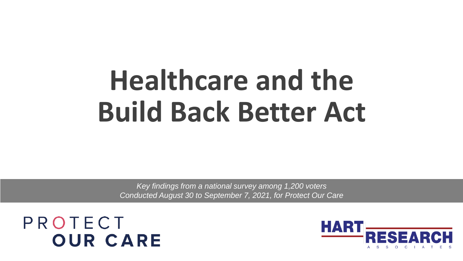# **Healthcare and the Build Back Better Act**

*Key findings from a national survey among 1,200 voters Conducted August 30 to September 7, 2021, for Protect Our Care*

PROTECT **OUR CARE** 

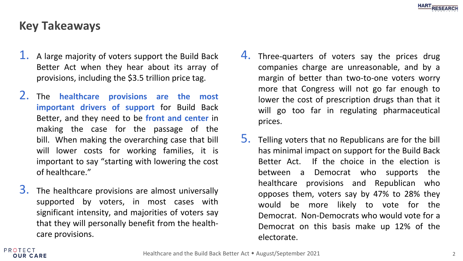# **Key Takeaways**

- 1. A large majority of voters support the Build Back Better Act when they hear about its array of provisions, including the \$3.5 trillion price tag.
- 2. The **healthcare provisions are the most important drivers of support** for Build Back Better, and they need to be **front and center** in making the case for the passage of the bill. When making the overarching case that bill will lower costs for working families, it is important to say "starting with lowering the cost of healthcare."
- $3.$  The healthcare provisions are almost universally supported by voters, in most cases with significant intensity, and majorities of voters say that they will personally benefit from the healthcare provisions.
- 4. Three-quarters of voters say the prices drug companies charge are unreasonable, and by a margin of better than two-to-one voters worry more that Congress will not go far enough to lower the cost of prescription drugs than that it will go too far in regulating pharmaceutical prices.
- 5. Telling voters that no Republicans are for the bill has minimal impact on support for the Build Back Better Act. If the choice in the election is between a Democrat who supports the healthcare provisions and Republican who opposes them, voters say by 47% to 28% they would be more likely to vote for the Democrat. Non-Democrats who would vote for a Democrat on this basis make up 12% of the electorate.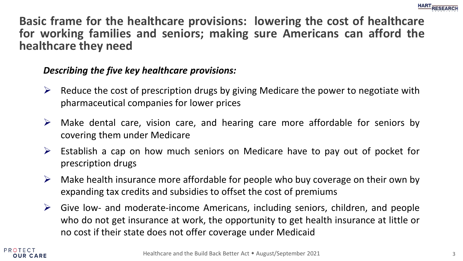

**Basic frame for the healthcare provisions: lowering the cost of healthcare for working families and seniors; making sure Americans can afford the healthcare they need**

#### *Describing the five key healthcare provisions:*

- $\triangleright$  Reduce the cost of prescription drugs by giving Medicare the power to negotiate with pharmaceutical companies for lower prices
- $\triangleright$  Make dental care, vision care, and hearing care more affordable for seniors by covering them under Medicare
- $\triangleright$  Establish a cap on how much seniors on Medicare have to pay out of pocket for prescription drugs
- $\triangleright$  Make health insurance more affordable for people who buy coverage on their own by expanding tax credits and subsidies to offset the cost of premiums
- $\triangleright$  Give low- and moderate-income Americans, including seniors, children, and people who do not get insurance at work, the opportunity to get health insurance at little or no cost if their state does not offer coverage under Medicaid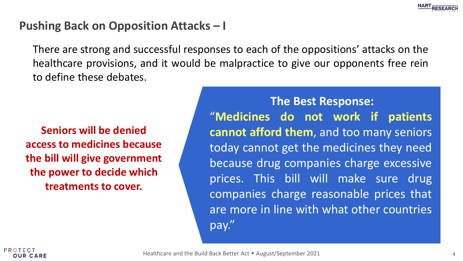

#### **Pushing Back on Opposition Attacks – I**

There are strong and successful responses to each of the oppositions' attacks on the healthcare provisions, and it would be malpractice to give our opponents free rein to define these debates.

**Seniors will be denied access to medicines because the bill will give government the power to decide which treatments to cover.**

**The Best Response:** "**Medicines do not work if patients cannot afford them**, and too many seniors today cannot get the medicines they need because drug companies charge excessive prices. This bill will make sure drug companies charge reasonable prices that are more in line with what other countries pay."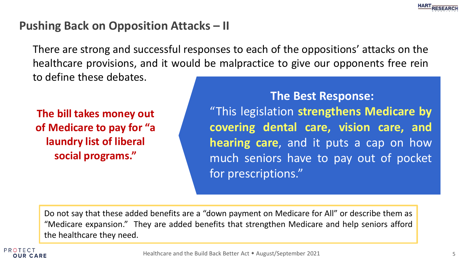

#### **Pushing Back on Opposition Attacks – II**

There are strong and successful responses to each of the oppositions' attacks on the healthcare provisions, and it would be malpractice to give our opponents free rein to define these debates.

**The bill takes money out of Medicare to pay for "a laundry list of liberal social programs."**

**The Best Response:** "This legislation **strengthens Medicare by covering dental care, vision care, and hearing care**, and it puts a cap on how much seniors have to pay out of pocket for prescriptions."

Do not say that these added benefits are a "down payment on Medicare for All" or describe them as "Medicare expansion." They are added benefits that strengthen Medicare and help seniors afford the healthcare they need.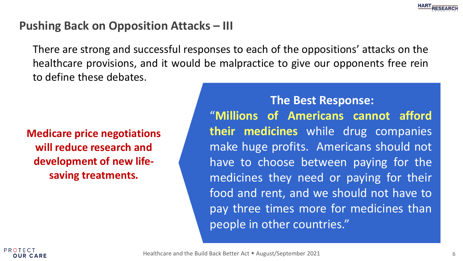

#### **Pushing Back on Opposition Attacks – III**

There are strong and successful responses to each of the oppositions' attacks on the healthcare provisions, and it would be malpractice to give our opponents free rein to define these debates.

**Medicare price negotiations will reduce research and development of new lifesaving treatments.**

**The Best Response:** "**Millions of Americans cannot afford their medicines** while drug companies make huge profits. Americans should not have to choose between paying for the medicines they need or paying for their food and rent, and we should not have to pay three times more for medicines than people in other countries."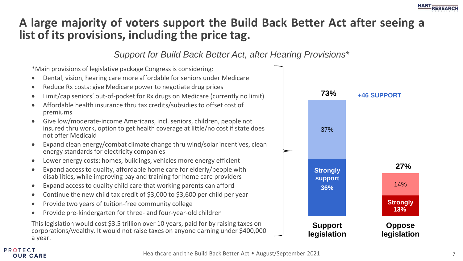#### **HART RESEARCH**

# **A large majority of voters support the Build Back Better Act after seeing a list of its provisions, including the price tag.**

*Support for Build Back Better Act, after Hearing Provisions\**

\*Main provisions of legislative package Congress is considering:

- Dental, vision, hearing care more affordable for seniors under Medicare
- Reduce Rx costs: give Medicare power to negotiate drug prices
- Limit/cap seniors' out-of-pocket for Rx drugs on Medicare (currently no limit)
- Affordable health insurance thru tax credits/subsidies to offset cost of premiums
- Give low/moderate-income Americans, incl. seniors, children, people not insured thru work, option to get health coverage at little/no cost if state does not offer Medicaid
- Expand clean energy/combat climate change thru wind/solar incentives, clean energy standards for electricity companies
- Lower energy costs: homes, buildings, vehicles more energy efficient
- Expand access to quality, affordable home care for elderly/people with disabilities, while improving pay and training for home care providers
- Expand access to quality child care that working parents can afford
- Continue the new child tax credit of \$3,000 to \$3,600 per child per year
- Provide two years of tuition-free community college

PROTECT **OUR CARE** 

• Provide pre-kindergarten for three- and four-year-old children

This legislation would cost \$3.5 trillion over 10 years, paid for by raising taxes on corporations/wealthy. It would not raise taxes on anyone earning under \$400,000 a year.



Healthcare and the Build Back Better Act • August/September 2021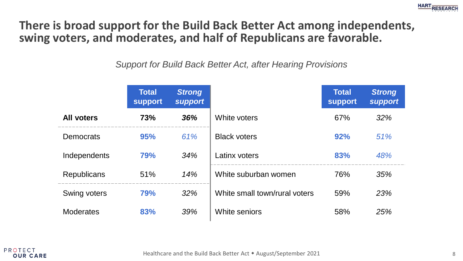

#### **There is broad support for the Build Back Better Act among independents, swing voters, and moderates, and half of Republicans are favorable.**

*Support for Build Back Better Act, after Hearing Provisions*

|                   | <b>Total</b><br><b>support</b> | <b>Strong</b><br><b>support</b> |                               | <b>Total</b><br><b>support</b> | <b>Strong</b><br><b>support</b> |
|-------------------|--------------------------------|---------------------------------|-------------------------------|--------------------------------|---------------------------------|
| <b>All voters</b> | 73%                            | 36%                             | White voters                  | 67%                            | 32%                             |
| <b>Democrats</b>  | 95%                            | 61%                             | <b>Black voters</b>           | 92%                            | 51%                             |
| Independents      | 79%                            | 34%                             | Latinx voters                 | 83%                            | 48%                             |
| Republicans       | 51%                            | 14%                             | White suburban women          | 76%                            | 35%                             |
| Swing voters      | <b>79%</b>                     | 32%                             | White small town/rural voters | 59%                            | 23%                             |
| <b>Moderates</b>  | 83%                            | 39%                             | White seniors                 | 58%                            | 25%                             |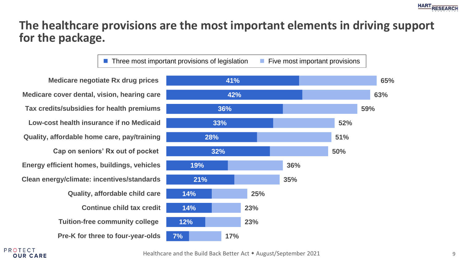

#### **The healthcare provisions are the most important elements in driving support for the package.**

■ Three most important provisions of legislation ■ Five most important provisions

**Medicare negotiate Rx drug prices Medicare cover dental, vision, hearing care Tax credits/subsidies for health premiums Low-cost health insurance if no Medicaid Quality, affordable home care, pay/training Cap on seniors' Rx out of pocket Energy efficient homes, buildings, vehicles Clean energy/climate: incentives/standards Quality, affordable child care Continue child tax credit Tuition-free community college Pre-K for three to four-year-olds**



PROTECT **OUR CARE** 

Healthcare and the Build Back Better Act • August/September 2021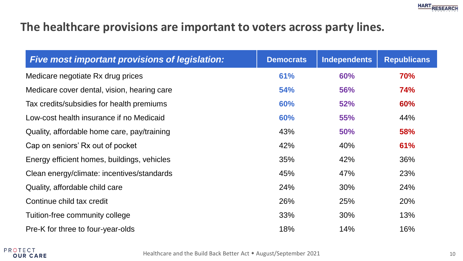# **The healthcare provisions are important to voters across party lines.**

| Five most important provisions of legislation: | <b>Democrats</b> | <b>Independents</b> | <b>Republicans</b> |
|------------------------------------------------|------------------|---------------------|--------------------|
| Medicare negotiate Rx drug prices              | 61%              | 60%                 | 70%                |
| Medicare cover dental, vision, hearing care    | <b>54%</b>       | 56%                 | 74%                |
| Tax credits/subsidies for health premiums      | 60%              | 52%                 | 60%                |
| Low-cost health insurance if no Medicaid       | 60%              | <b>55%</b>          | 44%                |
| Quality, affordable home care, pay/training    | 43%              | <b>50%</b>          | 58%                |
| Cap on seniors' Rx out of pocket               | 42%              | 40%                 | 61%                |
| Energy efficient homes, buildings, vehicles    | 35%              | 42%                 | 36%                |
| Clean energy/climate: incentives/standards     | 45%              | 47%                 | 23%                |
| Quality, affordable child care                 | 24%              | 30%                 | 24%                |
| Continue child tax credit                      | 26%              | 25%                 | 20%                |
| Tuition-free community college                 | 33%              | 30%                 | 13%                |
| Pre-K for three to four-year-olds              | 18%              | 14%                 | 16%                |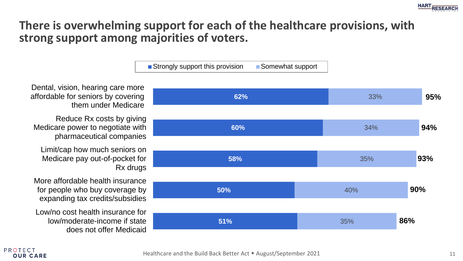

#### **There is overwhelming support for each of the healthcare provisions, with strong support among majorities of voters.**

 $\blacksquare$  Strongly support this provision  $\blacksquare$  Somewhat support



Dental, vision, hearing care more affordable for seniors by covering them under Medicare

Reduce Rx costs by giving Medicare power to negotiate with pharmaceutical companies

Limit/cap how much seniors on Medicare pay out-of-pocket for Rx drugs

More affordable health insurance for people who buy coverage by expanding tax credits/subsidies

Low/no cost health insurance for low/moderate-income if state does not offer Medicaid

PROTEC<sup>-</sup> **OUR CARE**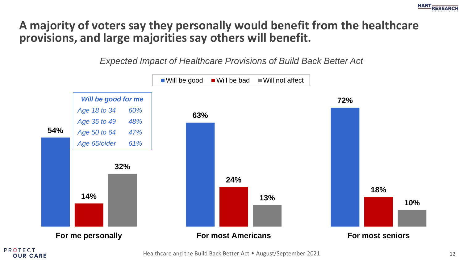

# **A majority of voters say they personally would benefit from the healthcare provisions, and large majorities say others will benefit.**

*Expected Impact of Healthcare Provisions of Build Back Better Act*



Healthcare and the Build Back Better Act • August/September 2021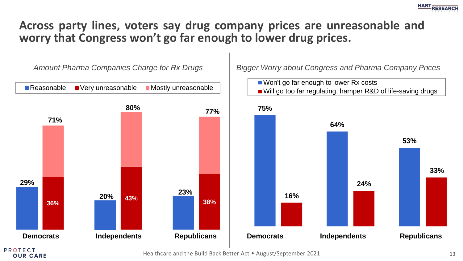

#### **Across party lines, voters say drug company prices are unreasonable and worry that Congress won't go far enough to lower drug prices.**



Healthcare and the Build Back Better Act • August/September 2021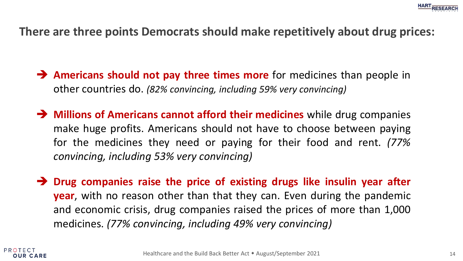

#### **There are three points Democrats should make repetitively about drug prices:**

- ➔ **Americans should not pay three times more** for medicines than people in other countries do. *(82% convincing, including 59% very convincing)*
- ➔ **Millions of Americans cannot afford their medicines** while drug companies make huge profits. Americans should not have to choose between paying for the medicines they need or paying for their food and rent. *(77% convincing, including 53% very convincing)*
- ➔ **Drug companies raise the price of existing drugs like insulin year after year**, with no reason other than that they can. Even during the pandemic and economic crisis, drug companies raised the prices of more than 1,000 medicines. *(77% convincing, including 49% very convincing)*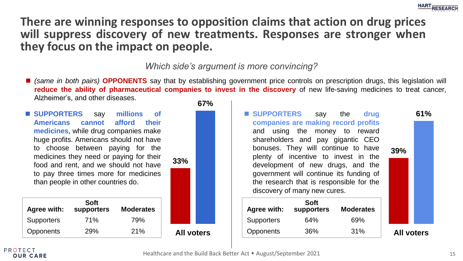

#### **There are winning responses to opposition claims that action on drug prices will suppress discovery of new treatments. Responses are stronger when they focus on the impact on people.**

*Which side's argument is more convincing?*

■ (same in both pairs) OPPONENTS say that by establishing government price controls on prescription drugs, this legislation will **reduce the ability of pharmaceutical companies to invest in the discovery** of new life-saving medicines to treat cancer, Alzheimer's, and other diseases.

■ **SUPPORTERS** say millions of **Americans cannot afford their medicines**, while drug companies make huge profits. Americans should not have to choose between paying for the medicines they need or paying for their food and rent, and we should not have to pay three times more for medicines than people in other countries do.

| Agree with:       | Soft<br>supporters | <b>Moderates</b> |
|-------------------|--------------------|------------------|
| <b>Supporters</b> | 71%                | 79%              |
| Opponents         | 29%                | 21%              |





#### **PROTECT OUR CARE**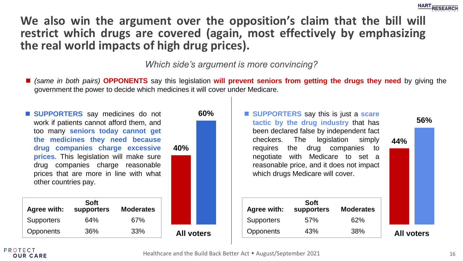

**We also win the argument over the opposition's claim that the bill will restrict which drugs are covered (again, most effectively by emphasizing the real world impacts of high drug prices).**

*Which side's argument is more convincing?*

- (same in both pairs) **OPPONENTS** say this legislation will prevent seniors from getting the drugs they need by giving the government the power to decide which medicines it will cover under Medicare.
- **SUPPORTERS** say medicines do not work if patients cannot afford them, and too many **seniors today cannot get the medicines they need because drug companies charge excessive prices**. This legislation will make sure drug companies charge reasonable prices that are more in line with what other countries pay.

| Agree with:       | Soft<br>supporters | <b>Moderates</b> |
|-------------------|--------------------|------------------|
| <b>Supporters</b> | 64%                | 67%              |
| Opponents         | 36%                | 33%              |



■ **SUPPORTERS** say this is just a **scare tactic by the drug industry** that has been declared false by independent fact checkers. The legislation simply requires the drug companies to negotiate with Medicare to set a reasonable price, and it does not impact which drugs Medicare will cover.

|                   | Agree with:       | Soft<br>supporters | <b>Moderates</b> |                   |  |
|-------------------|-------------------|--------------------|------------------|-------------------|--|
|                   | <b>Supporters</b> | 57%                | 62%              |                   |  |
| <b>All voters</b> | Opponents         | 43%                | 38%              | <b>All voters</b> |  |



**56%**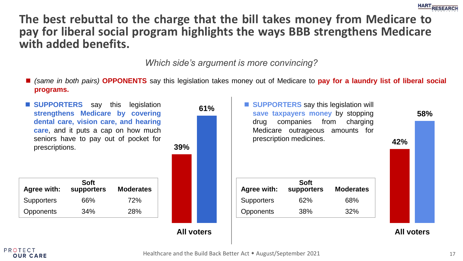

**The best rebuttal to the charge that the bill takes money from Medicare to pay for liberal social program highlights the ways BBB strengthens Medicare with added benefits.**

*Which side's argument is more convincing?*

◼ *(same in both pairs)* **OPPONENTS** say this legislation takes money out of Medicare to **pay for a laundry list of liberal social programs.**



**PROTECT OUR CARE**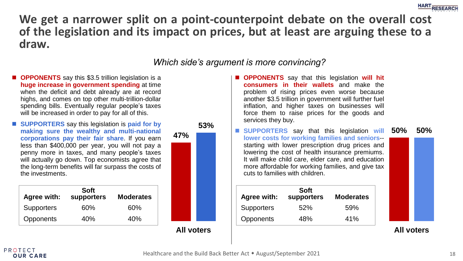

#### **We get a narrower split on a point-counterpoint debate on the overall cost of the legislation and its impact on prices, but at least are arguing these to a draw.**

#### *Which side's argument is more convincing?*

- **OPPONENTS** say this \$3.5 trillion legislation is a **huge increase in government spending** at time when the deficit and debt already are at record highs, and comes on top other multi-trillion-dollar spending bills. Eventually regular people's taxes will be increased in order to pay for all of this.
- **SUPPORTERS** say this legislation is **paid** for by **making sure the wealthy and multi-national corporations pay their fair share**. If you earn less than \$400,000 per year, you will not pay a penny more in taxes, and many people's taxes will actually go down. Top economists agree that the long-term benefits will far surpass the costs of the investments.

| Agree with:       | Soft<br>supporters | <b>Moderates</b> |
|-------------------|--------------------|------------------|
| <b>Supporters</b> | 60%                | 60%              |
| Opponents         | 40%                | 40%              |



- **OPPONENTS** say that this legislation will hit **consumers in their wallets** and make the problem of rising prices even worse because another \$3.5 trillion in government will further fuel inflation, and higher taxes on businesses will force them to raise prices for the goods and services they buy.
- **47% 53% 50% 50% 50% 50% 50% 50% 50% 50% 50% 50% 50% 50% 50% 50% 50% 50% 50% 50% 50% 50% 50% 50% 50% 50% 50% 50% 50% 50% 50% 50% 50% 50% 50% 50% 50%** ■ **SUPPORTERS** say that this legislation will **lower costs for working families and seniors**- starting with lower prescription drug prices and lowering the cost of health insurance premiums. It will make child care, elder care, and education more affordable for working families, and give tax cuts to families with children.

| Agree with:       | Soft<br>supporters | <b>Moderates</b> |
|-------------------|--------------------|------------------|
| <b>Supporters</b> | 52%                | .59%             |
| Opponents         | 48%                | 41%              |

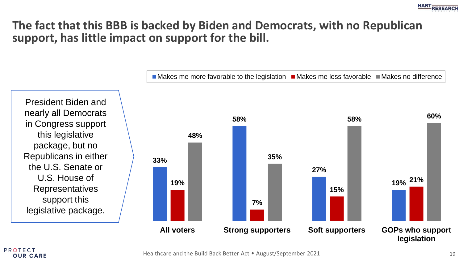

# **The fact that this BBB is backed by Biden and Democrats, with no Republican support, has little impact on support for the bill.**

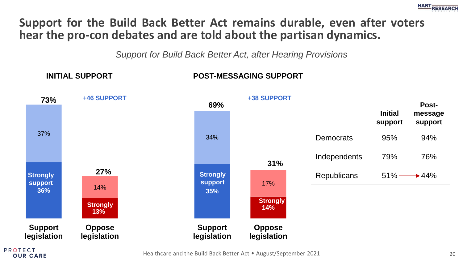

#### **Support for the Build Back Better Act remains durable, even after voters hear the pro-con debates and are told about the partisan dynamics.**

*Support for Build Back Better Act, after Hearing Provisions*

#### **INITIAL SUPPORT POST-MESSAGING SUPPORT**